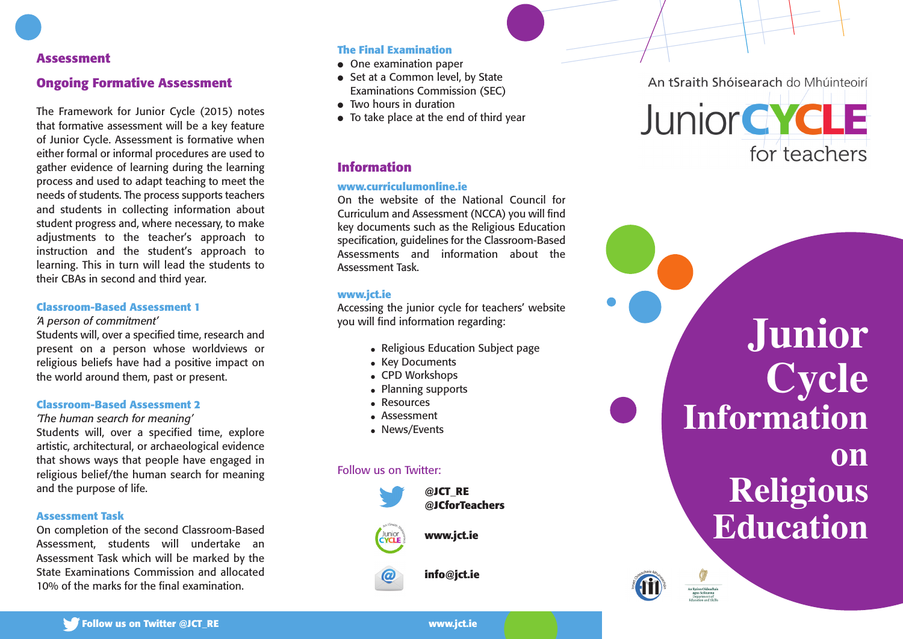## **A s s e s s m e n t**

## **Ongoing Formative Assessment**

The Framework for Junior Cycle (2015) notes that formative assessment will be a key feature of Junior Cycle. Assessment is formative when either formal or informal procedures are used to gather evidence of learning during the learning process and used to adapt teaching to meet the needs of students. The process supports teachers and students in collecting information about student progress and, where necessary, to make adjustments to the teacher's approach to instruction and the student's approach to learning. This in turn will lead the students to their CBAs in second and third year.

### **Classroom-Based Assessment 1**

*'A* person of commitment'

Students will, over a specified time, research and present on a person whose worldviews or religious beliefs have had a positive impact on the world around them, past or present.

#### **Classroom-Based Assessment 2**

*'The human search for meaning'* 

Students will, over a specified time, explore artistic, architectural, or archaeological evidence that shows ways that people have engaged in religious belief/the human search for meaning and the purpose of life.

#### **A s s e s s m e n t Ta s k**

On completion of the second Classroom-Based Assessment, students will undertake an Assessment Task which will be marked by the State Examinations Commission and allocated 10% of the marks for the final examination.

### **T h e F i n a l E x a m i n a t i o n**

- $\bullet$  One examination paper
- $\bullet\;$  Set at a Common level, by State Examinations Commission (SEC)
- $\bullet$  Two hours in duration
- $\bullet$  To take place at the end of third year

## **I n f o r m a t i o n**

#### www.curriculumonline.ie

On the website of the National Council for Curriculum and Assessment (NCCA) you will find key documents such as the Religious Education specification, guidelines for the Classroom-Based Assessments and information about the Assessment Task.

#### **www. j c t . i e**

Accessing the junior cycle for teachers' website you will find information regarding:

- $\bullet$  Religious Education Subject page
- $\bullet\;$  Key Documents
- CPD Workshops
- $\bullet$  Planning supports
- Resources
- $\bullet$  Assessment
- $\bullet\,$  News/Events

#### Follow us on Twitter:



An tSraith Shóisearach do Mhúinteoirí



**J u n i o r C y c l e** Information **o n R e l i g i o u s** Education



Follow us on Twitter @JCT\_RE

**www. j c t . i e**